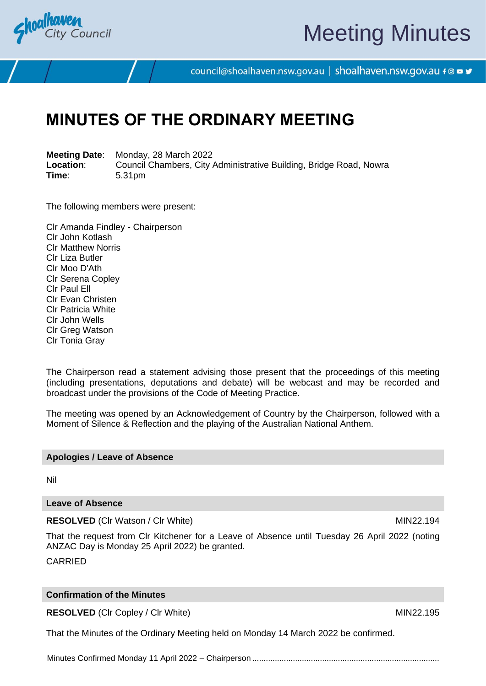

# Meeting Minutes

council@shoalhaven.nsw.gov.au | shoalhaven.nsw.gov.au f @ ■ y

# **MINUTES OF THE ORDINARY MEETING**

**Meeting Date**: Monday, 28 March 2022 **Location:** Council Chambers, City Administrative Building, Bridge Road, Nowra<br>
Time: 5.31pm **Time**: 5.31pm

The following members were present:

Clr Amanda Findley - Chairperson Clr John Kotlash Clr Matthew Norris Clr Liza Butler Clr Moo D'Ath Clr Serena Copley Clr Paul Ell Clr Evan Christen Clr Patricia White Clr John Wells Clr Greg Watson Clr Tonia Gray

The Chairperson read a statement advising those present that the proceedings of this meeting (including presentations, deputations and debate) will be webcast and may be recorded and broadcast under the provisions of the Code of Meeting Practice.

The meeting was opened by an Acknowledgement of Country by the Chairperson, followed with a Moment of Silence & Reflection and the playing of the Australian National Anthem.

### **Apologies / Leave of Absence**

Nil

### **Leave of Absence**

**RESOLVED** (CIr Watson / CIr White) MIN22.194

That the request from Clr Kitchener for a Leave of Absence until Tuesday 26 April 2022 (noting ANZAC Day is Monday 25 April 2022) be granted.

CARRIED

### **Confirmation of the Minutes**

**RESOLVED** (CIr Copley / CIr White) MIN22.195

That the Minutes of the Ordinary Meeting held on Monday 14 March 2022 be confirmed.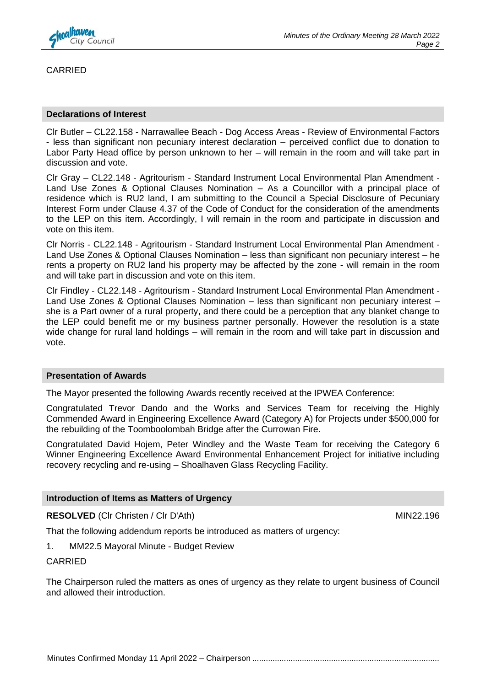

CARRIED

### **Declarations of Interest**

Clr Butler – CL22.158 - Narrawallee Beach - Dog Access Areas - Review of Environmental Factors - less than significant non pecuniary interest declaration – perceived conflict due to donation to Labor Party Head office by person unknown to her – will remain in the room and will take part in discussion and vote.

Clr Gray – CL22.148 - Agritourism - Standard Instrument Local Environmental Plan Amendment - Land Use Zones & Optional Clauses Nomination – As a Councillor with a principal place of residence which is RU2 land, I am submitting to the Council a Special Disclosure of Pecuniary Interest Form under Clause 4.37 of the Code of Conduct for the consideration of the amendments to the LEP on this item. Accordingly, I will remain in the room and participate in discussion and vote on this item.

Clr Norris - CL22.148 - Agritourism - Standard Instrument Local Environmental Plan Amendment - Land Use Zones & Optional Clauses Nomination – less than significant non pecuniary interest – he rents a property on RU2 land his property may be affected by the zone - will remain in the room and will take part in discussion and vote on this item.

Clr Findley - CL22.148 - Agritourism - Standard Instrument Local Environmental Plan Amendment - Land Use Zones & Optional Clauses Nomination – less than significant non pecuniary interest – she is a Part owner of a rural property, and there could be a perception that any blanket change to the LEP could benefit me or my business partner personally. However the resolution is a state wide change for rural land holdings – will remain in the room and will take part in discussion and vote.

### **Presentation of Awards**

The Mayor presented the following Awards recently received at the IPWEA Conference:

Congratulated Trevor Dando and the Works and Services Team for receiving the Highly Commended Award in Engineering Excellence Award (Category A) for Projects under \$500,000 for the rebuilding of the Toomboolombah Bridge after the Currowan Fire.

Congratulated David Hojem, Peter Windley and the Waste Team for receiving the Category 6 Winner Engineering Excellence Award Environmental Enhancement Project for initiative including recovery recycling and re-using – Shoalhaven Glass Recycling Facility.

### **Introduction of Items as Matters of Urgency**

**RESOLVED** (CIr Christen / CIr D'Ath) MIN22.196

That the following addendum reports be introduced as matters of urgency:

1. MM22.5 Mayoral Minute - Budget Review

CARRIED

The Chairperson ruled the matters as ones of urgency as they relate to urgent business of Council and allowed their introduction.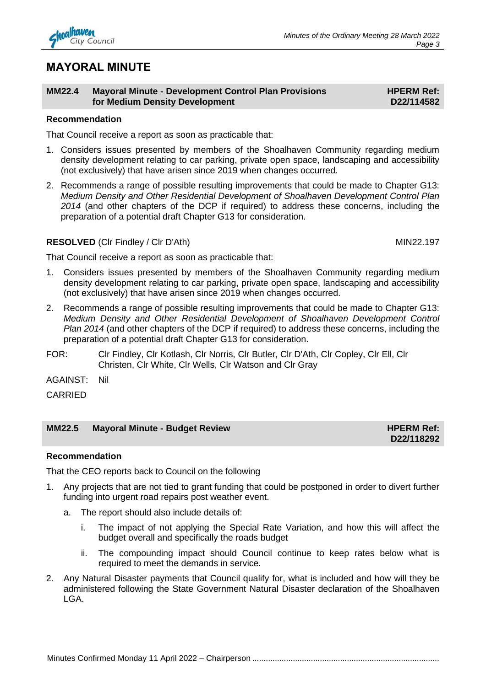## **MAYORAL MINUTE**

### **MM22.4 Mayoral Minute - Development Control Plan Provisions for Medium Density Development**

### **Recommendation**

That Council receive a report as soon as practicable that:

- 1. Considers issues presented by members of the Shoalhaven Community regarding medium density development relating to car parking, private open space, landscaping and accessibility (not exclusively) that have arisen since 2019 when changes occurred.
- 2. Recommends a range of possible resulting improvements that could be made to Chapter G13: *Medium Density and Other Residential Development of Shoalhaven Development Control Plan 2014* (and other chapters of the DCP if required) to address these concerns, including the preparation of a potential draft Chapter G13 for consideration.

### **RESOLVED** (Clr Findley / Clr D'Ath) MIN22.197

That Council receive a report as soon as practicable that:

- 1. Considers issues presented by members of the Shoalhaven Community regarding medium density development relating to car parking, private open space, landscaping and accessibility (not exclusively) that have arisen since 2019 when changes occurred.
- 2. Recommends a range of possible resulting improvements that could be made to Chapter G13: *Medium Density and Other Residential Development of Shoalhaven Development Control Plan 2014* (and other chapters of the DCP if required) to address these concerns, including the preparation of a potential draft Chapter G13 for consideration.
- FOR: Clr Findley, Clr Kotlash, Clr Norris, Clr Butler, Clr D'Ath, Clr Copley, Clr Ell, Clr Christen, Clr White, Clr Wells, Clr Watson and Clr Gray

AGAINST: Nil

CARRIED

### **MM22.5 Mayoral Minute - Budget Review HPERM Ref: HPERM Ref:**

### **Recommendation**

That the CEO reports back to Council on the following

- 1. Any projects that are not tied to grant funding that could be postponed in order to divert further funding into urgent road repairs post weather event.
	- a. The report should also include details of:
		- i. The impact of not applying the Special Rate Variation, and how this will affect the budget overall and specifically the roads budget
		- ii. The compounding impact should Council continue to keep rates below what is required to meet the demands in service.
- 2. Any Natural Disaster payments that Council qualify for, what is included and how will they be administered following the State Government Natural Disaster declaration of the Shoalhaven LGA.

**D22/118292**

**HPERM Ref: D22/114582**

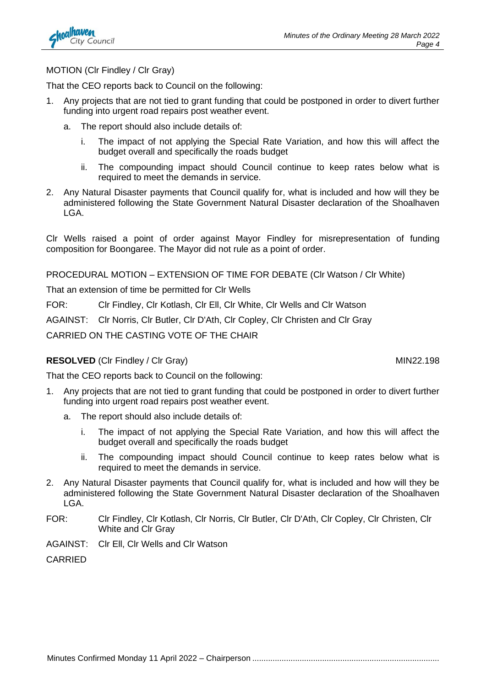

### MOTION (Clr Findley / Clr Gray)

That the CEO reports back to Council on the following:

- 1. Any projects that are not tied to grant funding that could be postponed in order to divert further funding into urgent road repairs post weather event.
	- a. The report should also include details of:
		- i. The impact of not applying the Special Rate Variation, and how this will affect the budget overall and specifically the roads budget
		- ii. The compounding impact should Council continue to keep rates below what is required to meet the demands in service.
- 2. Any Natural Disaster payments that Council qualify for, what is included and how will they be administered following the State Government Natural Disaster declaration of the Shoalhaven LGA.

Clr Wells raised a point of order against Mayor Findley for misrepresentation of funding composition for Boongaree. The Mayor did not rule as a point of order.

PROCEDURAL MOTION – EXTENSION OF TIME FOR DEBATE (Clr Watson / Clr White)

That an extension of time be permitted for Clr Wells

FOR: Clr Findley, Clr Kotlash, Clr Ell, Clr White, Clr Wells and Clr Watson

AGAINST: Clr Norris, Clr Butler, Clr D'Ath, Clr Copley, Clr Christen and Clr Gray

CARRIED ON THE CASTING VOTE OF THE CHAIR

### **RESOLVED** (CIr Findley / CIr Gray) MIN22.198

That the CEO reports back to Council on the following:

- 1. Any projects that are not tied to grant funding that could be postponed in order to divert further funding into urgent road repairs post weather event.
	- a. The report should also include details of:
		- i. The impact of not applying the Special Rate Variation, and how this will affect the budget overall and specifically the roads budget
		- ii. The compounding impact should Council continue to keep rates below what is required to meet the demands in service.
- 2. Any Natural Disaster payments that Council qualify for, what is included and how will they be administered following the State Government Natural Disaster declaration of the Shoalhaven LGA.
- FOR: Clr Findley, Clr Kotlash, Clr Norris, Clr Butler, Clr D'Ath, Clr Copley, Clr Christen, Clr White and Clr Gray
- AGAINST: Clr Ell, Clr Wells and Clr Watson

CARRIED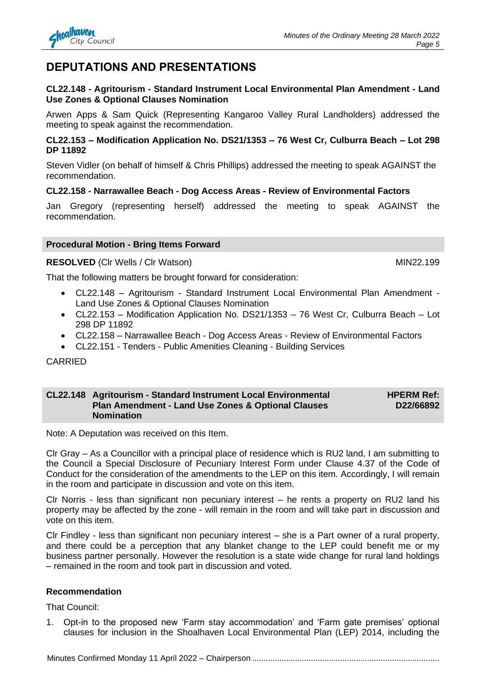### **DEPUTATIONS AND PRESENTATIONS**

### **CL22.148 - Agritourism - Standard Instrument Local Environmental Plan Amendment - Land Use Zones & Optional Clauses Nomination**

Arwen Apps & Sam Quick (Representing Kangaroo Valley Rural Landholders) addressed the meeting to speak against the recommendation.

### **CL22.153 – Modification Application No. DS21/1353 – 76 West Cr, Culburra Beach – Lot 298 DP 11892**

Steven Vidler (on behalf of himself & Chris Phillips) addressed the meeting to speak AGAINST the recommendation.

### **CL22.158 - Narrawallee Beach - Dog Access Areas - Review of Environmental Factors**

Jan Gregory (representing herself) addressed the meeting to speak AGAINST the recommendation.

### **Procedural Motion - Bring Items Forward**

**RESOLVED** (CIr Wells / CIr Watson) MIN22.199

That the following matters be brought forward for consideration:

- CL22.148 Agritourism Standard Instrument Local Environmental Plan Amendment Land Use Zones & Optional Clauses Nomination
- CL22.153 Modification Application No. DS21/1353 76 West Cr, Culburra Beach Lot 298 DP 11892
- CL22.158 Narrawallee Beach Dog Access Areas Review of Environmental Factors
- CL22.151 Tenders Public Amenities Cleaning Building Services

CARRIED

#### **CL22.148 Agritourism - Standard Instrument Local Environmental Plan Amendment - Land Use Zones & Optional Clauses Nomination HPERM Ref: D22/66892**

Note: A Deputation was received on this Item.

Clr Gray – As a Councillor with a principal place of residence which is RU2 land, I am submitting to the Council a Special Disclosure of Pecuniary Interest Form under Clause 4.37 of the Code of Conduct for the consideration of the amendments to the LEP on this item. Accordingly, I will remain in the room and participate in discussion and vote on this item.

Clr Norris - less than significant non pecuniary interest – he rents a property on RU2 land his property may be affected by the zone - will remain in the room and will take part in discussion and vote on this item.

Clr Findley - less than significant non pecuniary interest – she is a Part owner of a rural property, and there could be a perception that any blanket change to the LEP could benefit me or my business partner personally. However the resolution is a state wide change for rural land holdings – remained in the room and took part in discussion and voted.

### **Recommendation**

That Council:

1. Opt-in to the proposed new 'Farm stay accommodation' and 'Farm gate premises' optional clauses for inclusion in the Shoalhaven Local Environmental Plan (LEP) 2014, including the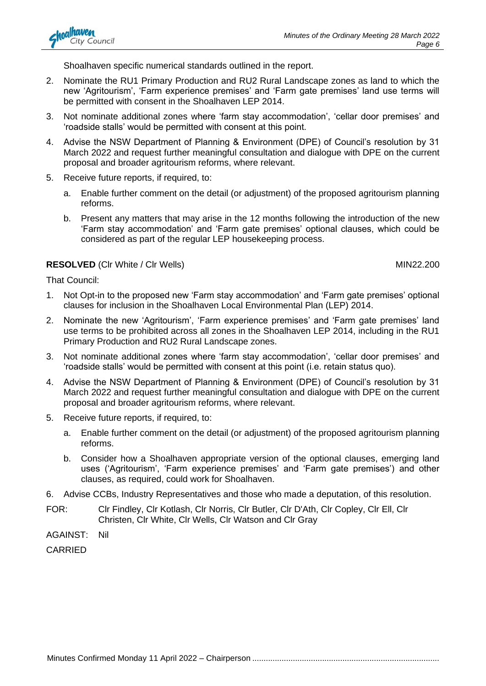Shoalhaven specific numerical standards outlined in the report.

- 2. Nominate the RU1 Primary Production and RU2 Rural Landscape zones as land to which the new 'Agritourism', 'Farm experience premises' and 'Farm gate premises' land use terms will be permitted with consent in the Shoalhaven LEP 2014.
- 3. Not nominate additional zones where 'farm stay accommodation', 'cellar door premises' and 'roadside stalls' would be permitted with consent at this point.
- 4. Advise the NSW Department of Planning & Environment (DPE) of Council's resolution by 31 March 2022 and request further meaningful consultation and dialogue with DPE on the current proposal and broader agritourism reforms, where relevant.
- 5. Receive future reports, if required, to:
	- a. Enable further comment on the detail (or adjustment) of the proposed agritourism planning reforms.
	- b. Present any matters that may arise in the 12 months following the introduction of the new 'Farm stay accommodation' and 'Farm gate premises' optional clauses, which could be considered as part of the regular LEP housekeeping process.

### **RESOLVED** (CIr White / CIr Wells) MIN22.200

That Council:

- 1. Not Opt-in to the proposed new 'Farm stay accommodation' and 'Farm gate premises' optional clauses for inclusion in the Shoalhaven Local Environmental Plan (LEP) 2014.
- 2. Nominate the new 'Agritourism', 'Farm experience premises' and 'Farm gate premises' land use terms to be prohibited across all zones in the Shoalhaven LEP 2014, including in the RU1 Primary Production and RU2 Rural Landscape zones.
- 3. Not nominate additional zones where 'farm stay accommodation', 'cellar door premises' and 'roadside stalls' would be permitted with consent at this point (i.e. retain status quo).
- 4. Advise the NSW Department of Planning & Environment (DPE) of Council's resolution by 31 March 2022 and request further meaningful consultation and dialogue with DPE on the current proposal and broader agritourism reforms, where relevant.
- 5. Receive future reports, if required, to:
	- a. Enable further comment on the detail (or adjustment) of the proposed agritourism planning reforms.
	- b. Consider how a Shoalhaven appropriate version of the optional clauses, emerging land uses ('Agritourism', 'Farm experience premises' and 'Farm gate premises') and other clauses, as required, could work for Shoalhaven.
- 6. Advise CCBs, Industry Representatives and those who made a deputation, of this resolution.
- FOR: Clr Findley, Clr Kotlash, Clr Norris, Clr Butler, Clr D'Ath, Clr Copley, Clr Ell, Clr Christen, Clr White, Clr Wells, Clr Watson and Clr Gray
- AGAINST: Nil

CARRIED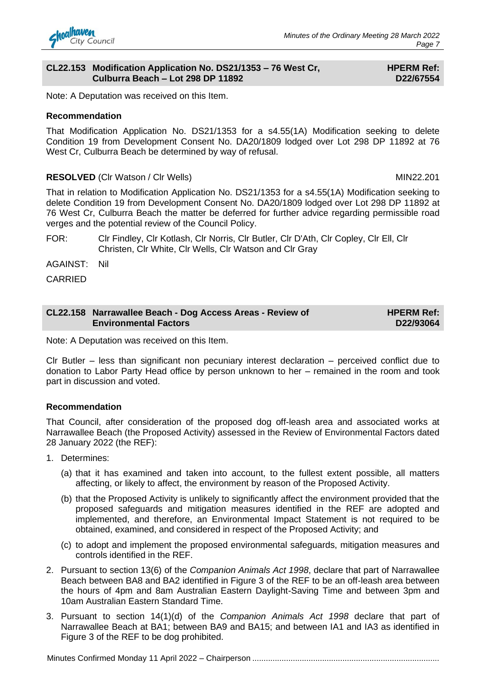#### **CL22.153 Modification Application No. DS21/1353 – 76 West Cr, Culburra Beach – Lot 298 DP 11892**

### **HPERM Ref: D22/67554**

Note: A Deputation was received on this Item.

### **Recommendation**

That Modification Application No. DS21/1353 for a s4.55(1A) Modification seeking to delete Condition 19 from Development Consent No. DA20/1809 lodged over Lot 298 DP 11892 at 76 West Cr, Culburra Beach be determined by way of refusal.

### **RESOLVED** (Clr Watson / Clr Wells) MIN22.201

That in relation to Modification Application No. DS21/1353 for a s4.55(1A) Modification seeking to delete Condition 19 from Development Consent No. DA20/1809 lodged over Lot 298 DP 11892 at 76 West Cr, Culburra Beach the matter be deferred for further advice regarding permissible road verges and the potential review of the Council Policy.

FOR: Clr Findley, Clr Kotlash, Clr Norris, Clr Butler, Clr D'Ath, Clr Copley, Clr Ell, Clr Christen, Clr White, Clr Wells, Clr Watson and Clr Gray

AGAINST: Nil

CARRIED

| CL22.158 Narrawallee Beach - Dog Access Areas - Review of | <b>HPERM Ref:</b> |
|-----------------------------------------------------------|-------------------|
| <b>Environmental Factors</b>                              | D22/93064         |

Note: A Deputation was received on this Item.

Clr Butler – less than significant non pecuniary interest declaration – perceived conflict due to donation to Labor Party Head office by person unknown to her – remained in the room and took part in discussion and voted.

### **Recommendation**

That Council, after consideration of the proposed dog off-leash area and associated works at Narrawallee Beach (the Proposed Activity) assessed in the Review of Environmental Factors dated 28 January 2022 (the REF):

- 1. Determines:
	- (a) that it has examined and taken into account, to the fullest extent possible, all matters affecting, or likely to affect, the environment by reason of the Proposed Activity.
	- (b) that the Proposed Activity is unlikely to significantly affect the environment provided that the proposed safeguards and mitigation measures identified in the REF are adopted and implemented, and therefore, an Environmental Impact Statement is not required to be obtained, examined, and considered in respect of the Proposed Activity; and
	- (c) to adopt and implement the proposed environmental safeguards, mitigation measures and controls identified in the REF.
- 2. Pursuant to section 13(6) of the *Companion Animals Act 1998*, declare that part of Narrawallee Beach between BA8 and BA2 identified in Figure 3 of the REF to be an off-leash area between the hours of 4pm and 8am Australian Eastern Daylight-Saving Time and between 3pm and 10am Australian Eastern Standard Time.
- 3. Pursuant to section 14(1)(d) of the *Companion Animals Act 1998* declare that part of Narrawallee Beach at BA1; between BA9 and BA15; and between IA1 and IA3 as identified in Figure 3 of the REF to be dog prohibited.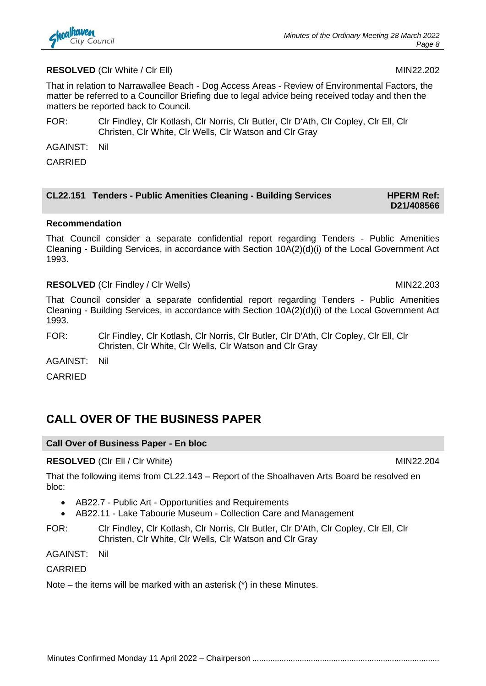

### **RESOLVED** (CIr White / CIr Ell) MIN22.202

That in relation to Narrawallee Beach - Dog Access Areas - Review of Environmental Factors, the matter be referred to a Councillor Briefing due to legal advice being received today and then the matters be reported back to Council.

- FOR: Clr Findley, Clr Kotlash, Clr Norris, Clr Butler, Clr D'Ath, Clr Copley, Clr Ell, Clr Christen, Clr White, Clr Wells, Clr Watson and Clr Gray
- AGAINST: Nil

**CARRIED** 

| CL22.151 Tenders - Public Amenities Cleaning - Building Services | <b>HPERM Ref:</b> |
|------------------------------------------------------------------|-------------------|
|                                                                  | <b>BAJJIANEAA</b> |

# **D21/408566**

### **Recommendation**

That Council consider a separate confidential report regarding Tenders - Public Amenities Cleaning - Building Services, in accordance with Section 10A(2)(d)(i) of the Local Government Act 1993.

### **RESOLVED** (CIr Findley / CIr Wells) MIN22.203

That Council consider a separate confidential report regarding Tenders - Public Amenities Cleaning - Building Services, in accordance with Section 10A(2)(d)(i) of the Local Government Act 1993.

FOR: Clr Findley, Clr Kotlash, Clr Norris, Clr Butler, Clr D'Ath, Clr Copley, Clr Ell, Clr Christen, Clr White, Clr Wells, Clr Watson and Clr Gray

AGAINST: Nil

CARRIED

### **CALL OVER OF THE BUSINESS PAPER**

### **Call Over of Business Paper - En bloc**

### **RESOLVED** (CIr Ell / CIr White) MIN22.204

That the following items from CL22.143 – Report of the Shoalhaven Arts Board be resolved en bloc:

- AB22.7 Public Art Opportunities and Requirements
- AB22.11 Lake Tabourie Museum Collection Care and Management
- FOR: Clr Findley, Clr Kotlash, Clr Norris, Clr Butler, Clr D'Ath, Clr Copley, Clr Ell, Clr Christen, Clr White, Clr Wells, Clr Watson and Clr Gray

AGAINST: Nil

**CARRIED** 

Note – the items will be marked with an asterisk (\*) in these Minutes.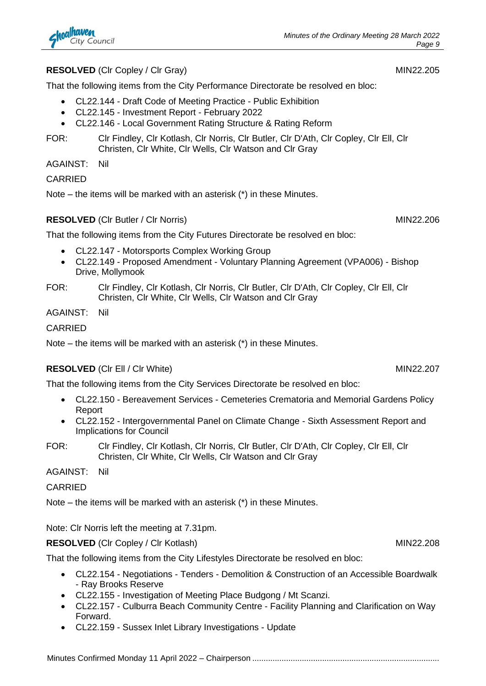### **RESOLVED** (Clr Copley / Clr Gray) MIN22.205

That the following items from the City Performance Directorate be resolved en bloc:

- CL22.144 Draft Code of Meeting Practice Public Exhibition
- CL22.145 Investment Report February 2022
- CL22.146 Local Government Rating Structure & Rating Reform
- FOR: Clr Findley, Clr Kotlash, Clr Norris, Clr Butler, Clr D'Ath, Clr Copley, Clr Ell, Clr Christen, Clr White, Clr Wells, Clr Watson and Clr Gray

AGAINST: Nil

### CARRIED

Note – the items will be marked with an asterisk (\*) in these Minutes.

### **RESOLVED** (CIr Butler / CIr Norris) MIN22.206

That the following items from the City Futures Directorate be resolved en bloc:

- CL22.147 Motorsports Complex Working Group
- CL22.149 Proposed Amendment Voluntary Planning Agreement (VPA006) Bishop Drive, Mollymook
- FOR: Clr Findley, Clr Kotlash, Clr Norris, Clr Butler, Clr D'Ath, Clr Copley, Clr Ell, Clr Christen, Clr White, Clr Wells, Clr Watson and Clr Gray

AGAINST: Nil

CARRIED

Note – the items will be marked with an asterisk (\*) in these Minutes.

### **RESOLVED** (CIr Ell / CIr White) MIN22.207

That the following items from the City Services Directorate be resolved en bloc:

- CL22.150 Bereavement Services Cemeteries Crematoria and Memorial Gardens Policy Report
- CL22.152 Intergovernmental Panel on Climate Change Sixth Assessment Report and Implications for Council
- FOR: Clr Findley, Clr Kotlash, Clr Norris, Clr Butler, Clr D'Ath, Clr Copley, Clr Ell, Clr Christen, Clr White, Clr Wells, Clr Watson and Clr Gray

AGAINST: Nil

CARRIED

Note – the items will be marked with an asterisk (\*) in these Minutes.

Note: Clr Norris left the meeting at 7.31pm.

**RESOLVED** (CIr Copley / CIr Kotlash) MIN22.208

That the following items from the City Lifestyles Directorate be resolved en bloc:

- CL22.154 Negotiations Tenders Demolition & Construction of an Accessible Boardwalk - Ray Brooks Reserve
- CL22.155 Investigation of Meeting Place Budgong / Mt Scanzi.
- CL22.157 Culburra Beach Community Centre Facility Planning and Clarification on Way Forward.
- CL22.159 Sussex Inlet Library Investigations Update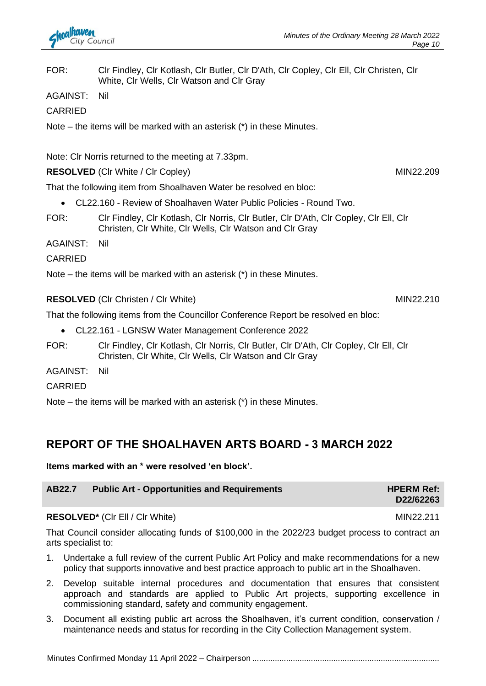FOR: Clr Findley, Clr Kotlash, Clr Butler, Clr D'Ath, Clr Copley, Clr Ell, Clr Christen, Clr White, Clr Wells, Clr Watson and Clr Gray

AGAINST: Nil

CARRIED

Note – the items will be marked with an asterisk (\*) in these Minutes.

Note: Clr Norris returned to the meeting at 7.33pm.

**RESOLVED** (CIr White / CIr Copley) MIN22.209

That the following item from Shoalhaven Water be resolved en bloc:

- CL22.160 Review of Shoalhaven Water Public Policies Round Two.
- FOR: Clr Findley, Clr Kotlash, Clr Norris, Clr Butler, Clr D'Ath, Clr Copley, Clr Ell, Clr Christen, Clr White, Clr Wells, Clr Watson and Clr Gray

AGAINST: Nil

### **CARRIED**

Note – the items will be marked with an asterisk (\*) in these Minutes.

**RESOLVED** (CIr Christen / CIr White) MIN22.210

That the following items from the Councillor Conference Report be resolved en bloc:

- CL22.161 LGNSW Water Management Conference 2022
- FOR: Clr Findley, Clr Kotlash, Clr Norris, Clr Butler, Clr D'Ath, Clr Copley, Clr Ell, Clr Christen, Clr White, Clr Wells, Clr Watson and Clr Gray

AGAINST: Nil

**CARRIED** 

Note – the items will be marked with an asterisk (\*) in these Minutes.

### **REPORT OF THE SHOALHAVEN ARTS BOARD - 3 MARCH 2022**

### **Items marked with an \* were resolved 'en block'.**

### **AB22.7 Public Art - Opportunities and Requirements HPERM Ref: HPERM Ref:**

### **RESOLVED<sup>\*</sup>** (CIr Ell / CIr White) MIN22.211

That Council consider allocating funds of \$100,000 in the 2022/23 budget process to contract an arts specialist to:

- 1. Undertake a full review of the current Public Art Policy and make recommendations for a new policy that supports innovative and best practice approach to public art in the Shoalhaven.
- 2. Develop suitable internal procedures and documentation that ensures that consistent approach and standards are applied to Public Art projects, supporting excellence in commissioning standard, safety and community engagement.
- 3. Document all existing public art across the Shoalhaven, it's current condition, conservation / maintenance needs and status for recording in the City Collection Management system.

**D22/62263**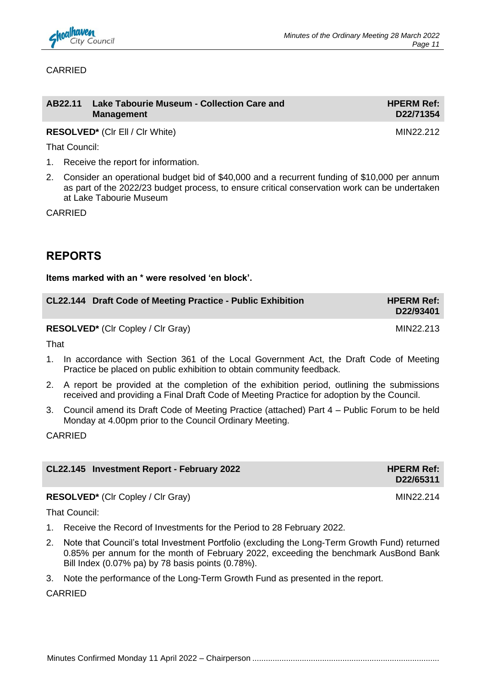

### CARRIED

| AB22.11 Lake Tabourie Museum - Collection Care and | <b>HPERM Ref:</b> |
|----------------------------------------------------|-------------------|
| <b>Management</b>                                  | D22/71354         |

**RESOLVED\*** (CIr Ell / CIr White) MIN22.212

That Council:

- 1. Receive the report for information.
- 2. Consider an operational budget bid of \$40,000 and a recurrent funding of \$10,000 per annum as part of the 2022/23 budget process, to ensure critical conservation work can be undertaken at Lake Tabourie Museum

CARRIED

### **REPORTS**

### **Items marked with an \* were resolved 'en block'.**

| CL22.144 Draft Code of Meeting Practice - Public Exhibition | <b>HPERM Ref:</b><br>D22/93401 |
|-------------------------------------------------------------|--------------------------------|
| <b>RESOLVED*</b> (CIr Copley / CIr Gray)                    | MIN22.213                      |

That

- 1. In accordance with Section 361 of the Local Government Act, the Draft Code of Meeting Practice be placed on public exhibition to obtain community feedback.
- 2. A report be provided at the completion of the exhibition period, outlining the submissions received and providing a Final Draft Code of Meeting Practice for adoption by the Council.
- 3. Council amend its Draft Code of Meeting Practice (attached) Part 4 Public Forum to be held Monday at 4.00pm prior to the Council Ordinary Meeting.

CARRIED

| CL22.145 Investment Report - February 2022 | <b>HPERM Ref:</b> |
|--------------------------------------------|-------------------|
|                                            | D22/65311         |
|                                            |                   |

**RESOLVED<sup>\*</sup>** (Clr Copley / Clr Gray) MIN22.214

That Council:

- 1. Receive the Record of Investments for the Period to 28 February 2022.
- 2. Note that Council's total Investment Portfolio (excluding the Long-Term Growth Fund) returned 0.85% per annum for the month of February 2022, exceeding the benchmark AusBond Bank Bill Index (0.07% pa) by 78 basis points (0.78%).
- 3. Note the performance of the Long-Term Growth Fund as presented in the report.

CARRIED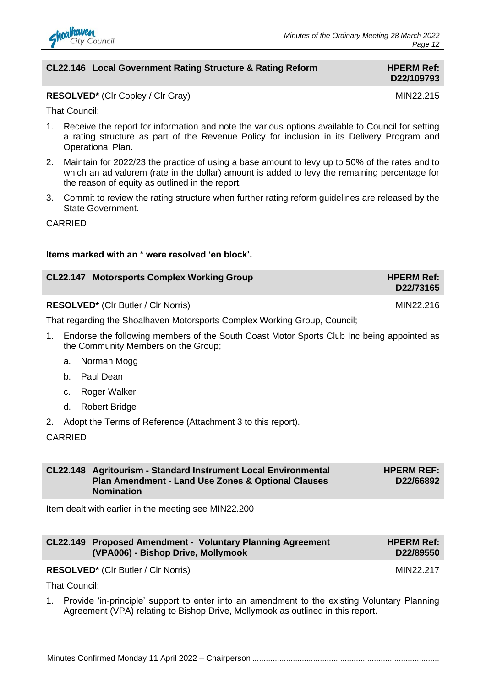

### **CL22.146 Local Government Rating Structure & Rating Reform HPERM Ref:**

# **D22/109793**

### **RESOLVED<sup>\*</sup>** (Clr Copley / Clr Gray) MIN22.215

That Council:

- 1. Receive the report for information and note the various options available to Council for setting a rating structure as part of the Revenue Policy for inclusion in its Delivery Program and Operational Plan.
- 2. Maintain for 2022/23 the practice of using a base amount to levy up to 50% of the rates and to which an ad valorem (rate in the dollar) amount is added to levy the remaining percentage for the reason of equity as outlined in the report.
- 3. Commit to review the rating structure when further rating reform guidelines are released by the State Government.

CARRIED

### **Items marked with an \* were resolved 'en block'.**

| <b>CL22.147 Motorsports Complex Working Group</b> | <b>HPERM Ref:</b><br>D22/73165 |
|---------------------------------------------------|--------------------------------|
| <b>RESOLVED*</b> (CIr Butler / CIr Norris)        | MIN22.216                      |

That regarding the Shoalhaven Motorsports Complex Working Group, Council;

- 1. Endorse the following members of the South Coast Motor Sports Club Inc being appointed as the Community Members on the Group;
	- a. Norman Mogg
	- b. Paul Dean
	- c. Roger Walker
	- d. Robert Bridge
- 2. Adopt the Terms of Reference (Attachment 3 to this report).

### **CARRIED**

| CL22.148 Agritourism - Standard Instrument Local Environmental | <b>HPERM REF:</b> |
|----------------------------------------------------------------|-------------------|
| Plan Amendment - Land Use Zones & Optional Clauses             | D22/66892         |
| <b>Nomination</b>                                              |                   |

Item dealt with earlier in the meeting see MIN22.200

|                                    | <b>CL22.149 Proposed Amendment - Voluntary Planning Agreement</b> | <b>HPERM Ref:</b> |
|------------------------------------|-------------------------------------------------------------------|-------------------|
| (VPA006) - Bishop Drive, Mollymook |                                                                   | D22/89550         |

**RESOLVED<sup>\*</sup>** (CIr Butler / CIr Norris) MIN22.217

That Council:

1. Provide 'in-principle' support to enter into an amendment to the existing Voluntary Planning Agreement (VPA) relating to Bishop Drive, Mollymook as outlined in this report.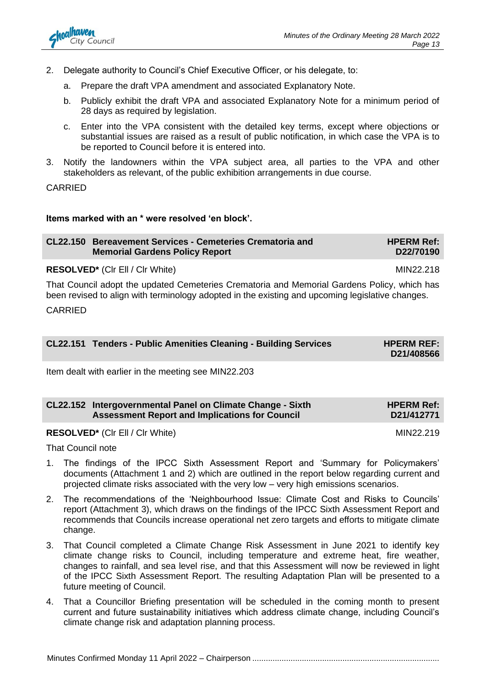- 2. Delegate authority to Council's Chief Executive Officer, or his delegate, to:
	- a. Prepare the draft VPA amendment and associated Explanatory Note.
	- b. Publicly exhibit the draft VPA and associated Explanatory Note for a minimum period of 28 days as required by legislation.
	- c. Enter into the VPA consistent with the detailed key terms, except where objections or substantial issues are raised as a result of public notification, in which case the VPA is to be reported to Council before it is entered into.
- 3. Notify the landowners within the VPA subject area, all parties to the VPA and other stakeholders as relevant, of the public exhibition arrangements in due course.

CARRIED

### **Items marked with an \* were resolved 'en block'.**

| CL22.150 Bereavement Services - Cemeteries Crematoria and<br><b>Memorial Gardens Policy Report</b>  | <b>HPERM Ref:</b><br>D22/70190 |
|-----------------------------------------------------------------------------------------------------|--------------------------------|
| <b>RESOLVED*</b> (CIr EII / CIr White)                                                              | MIN22.218                      |
| That Occurs's adopt the conditional Occurstance Occurstance and Massache Occident Deliau schich has |                                |

That Council adopt the updated Cemeteries Crematoria and Memorial Gardens Policy, which has been revised to align with terminology adopted in the existing and upcoming legislative changes.

CARRIED

| CL22.151 Tenders - Public Amenities Cleaning - Building Services | <b>HPERM REF:</b><br>D21/408566 |
|------------------------------------------------------------------|---------------------------------|
|                                                                  |                                 |

Item dealt with earlier in the meeting see MIN22.203

| CL22.152 Intergovernmental Panel on Climate Change - Sixth | <b>HPERM Ref:</b> |
|------------------------------------------------------------|-------------------|
| <b>Assessment Report and Implications for Council</b>      | D21/412771        |

### **RESOLVED\*** (CIr Ell / CIr White) MIN22.219

That Council note

- 1. The findings of the IPCC Sixth Assessment Report and 'Summary for Policymakers' documents (Attachment 1 and 2) which are outlined in the report below regarding current and projected climate risks associated with the very low – very high emissions scenarios.
- 2. The recommendations of the 'Neighbourhood Issue: Climate Cost and Risks to Councils' report (Attachment 3), which draws on the findings of the IPCC Sixth Assessment Report and recommends that Councils increase operational net zero targets and efforts to mitigate climate change.
- 3. That Council completed a Climate Change Risk Assessment in June 2021 to identify key climate change risks to Council, including temperature and extreme heat, fire weather, changes to rainfall, and sea level rise, and that this Assessment will now be reviewed in light of the IPCC Sixth Assessment Report. The resulting Adaptation Plan will be presented to a future meeting of Council.
- 4. That a Councillor Briefing presentation will be scheduled in the coming month to present current and future sustainability initiatives which address climate change, including Council's climate change risk and adaptation planning process.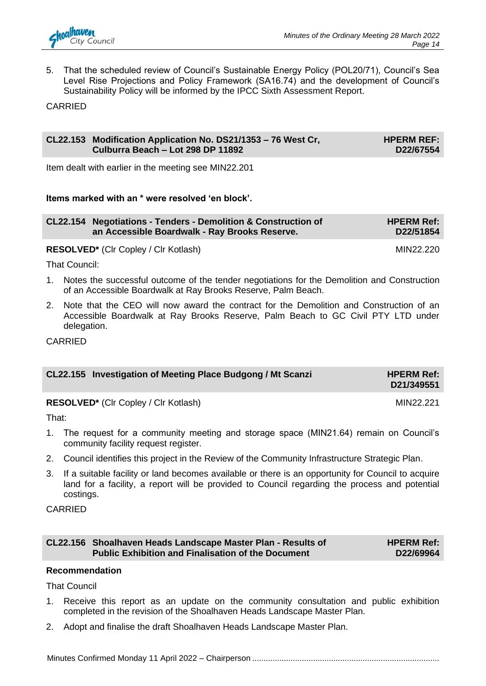

5. That the scheduled review of Council's Sustainable Energy Policy (POL20/71), Council's Sea Level Rise Projections and Policy Framework (SA16.74) and the development of Council's Sustainability Policy will be informed by the IPCC Sixth Assessment Report.

CARRIED

### **CL22.153 Modification Application No. DS21/1353 – 76 West Cr, Culburra Beach – Lot 298 DP 11892**

**HPERM REF: D22/67554**

Item dealt with earlier in the meeting see MIN22.201

### **Items marked with an \* were resolved 'en block'.**

| CL22.154 Negotiations - Tenders - Demolition & Construction of<br>an Accessible Boardwalk - Ray Brooks Reserve. | <b>HPERM Ref:</b><br>D22/51854 |
|-----------------------------------------------------------------------------------------------------------------|--------------------------------|
| <b>RESOLVED*</b> (CIr Copley / CIr Kotlash)                                                                     | MIN22.220                      |

That Council:

- 1. Notes the successful outcome of the tender negotiations for the Demolition and Construction of an Accessible Boardwalk at Ray Brooks Reserve, Palm Beach.
- 2. Note that the CEO will now award the contract for the Demolition and Construction of an Accessible Boardwalk at Ray Brooks Reserve, Palm Beach to GC Civil PTY LTD under delegation.

CARRIED

| CL22.155 Investigation of Meeting Place Budgong / Mt Scanzi | <b>HPERM Ref:</b><br>D21/349551 |
|-------------------------------------------------------------|---------------------------------|
|                                                             |                                 |

**RESOLVED<sup>\*</sup>** (Clr Copley / Clr Kotlash) MIN22.221

That:

- 1. The request for a community meeting and storage space (MIN21.64) remain on Council's community facility request register.
- 2. Council identifies this project in the Review of the Community Infrastructure Strategic Plan.
- 3. If a suitable facility or land becomes available or there is an opportunity for Council to acquire land for a facility, a report will be provided to Council regarding the process and potential costings.

CARRIED

| CL22.156 Shoalhaven Heads Landscape Master Plan - Results of |  |
|--------------------------------------------------------------|--|
| <b>Public Exhibition and Finalisation of the Document</b>    |  |

**HPERM Ref: D22/69964**

### **Recommendation**

That Council

- 1. Receive this report as an update on the community consultation and public exhibition completed in the revision of the Shoalhaven Heads Landscape Master Plan.
- 2. Adopt and finalise the draft Shoalhaven Heads Landscape Master Plan.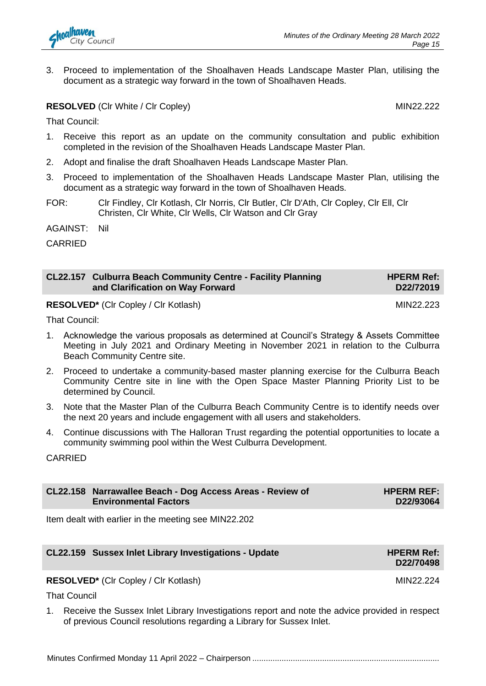

3. Proceed to implementation of the Shoalhaven Heads Landscape Master Plan, utilising the document as a strategic way forward in the town of Shoalhaven Heads.

**RESOLVED** (CIr White / CIr Copley) MIN22.222

That Council:

- 1. Receive this report as an update on the community consultation and public exhibition completed in the revision of the Shoalhaven Heads Landscape Master Plan.
- 2. Adopt and finalise the draft Shoalhaven Heads Landscape Master Plan.
- 3. Proceed to implementation of the Shoalhaven Heads Landscape Master Plan, utilising the document as a strategic way forward in the town of Shoalhaven Heads.
- FOR: Clr Findley, Clr Kotlash, Clr Norris, Clr Butler, Clr D'Ath, Clr Copley, Clr Ell, Clr Christen, Clr White, Clr Wells, Clr Watson and Clr Gray

AGAINST: Nil

CARRIED

| CL22.157 Culburra Beach Community Centre - Facility Planning | <b>HPERM Ref:</b> |
|--------------------------------------------------------------|-------------------|
| and Clarification on Way Forward                             | D22/72019         |

**RESOLVED\*** (CIr Copley / CIr Kotlash) MIN22.223

That Council:

- 1. Acknowledge the various proposals as determined at Council's Strategy & Assets Committee Meeting in July 2021 and Ordinary Meeting in November 2021 in relation to the Culburra Beach Community Centre site.
- 2. Proceed to undertake a community-based master planning exercise for the Culburra Beach Community Centre site in line with the Open Space Master Planning Priority List to be determined by Council.
- 3. Note that the Master Plan of the Culburra Beach Community Centre is to identify needs over the next 20 years and include engagement with all users and stakeholders.
- 4. Continue discussions with The Halloran Trust regarding the potential opportunities to locate a community swimming pool within the West Culburra Development.

CARRIED

| CL22.158 Narrawallee Beach - Dog Access Areas - Review of | <b>HPERM REF:</b> |
|-----------------------------------------------------------|-------------------|
| <b>Environmental Factors</b>                              | D22/93064         |

Item dealt with earlier in the meeting see MIN22.202

| CL22.159 Sussex Inlet Library Investigations - Update | <b>HPERM Ref:</b><br>D22/70498 |
|-------------------------------------------------------|--------------------------------|
| <b>RESOLVED*</b> (CIr Copley / CIr Kotlash)           | MIN22.224                      |

That Council

1. Receive the Sussex Inlet Library Investigations report and note the advice provided in respect of previous Council resolutions regarding a Library for Sussex Inlet.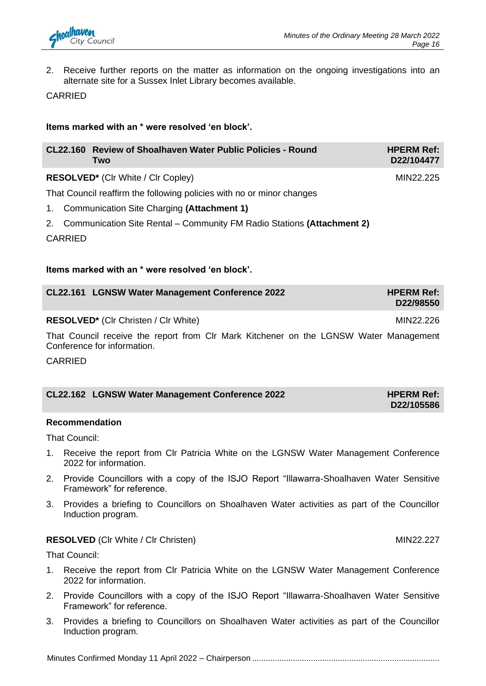

2. Receive further reports on the matter as information on the ongoing investigations into an alternate site for a Sussex Inlet Library becomes available.

CARRIED

### **Items marked with an \* were resolved 'en block'.**

| CL22.160 Review of Shoalhaven Water Public Policies - Round<br><b>Two</b> | <b>HPERM Ref:</b><br>D22/104477 |
|---------------------------------------------------------------------------|---------------------------------|
| <b>RESOLVED*</b> (CIr White / CIr Copley)                                 | MIN22.225                       |

That Council reaffirm the following policies with no or minor changes

- 1. Communication Site Charging **(Attachment 1)**
- 2. Communication Site Rental Community FM Radio Stations **(Attachment 2)**

CARRIED

### **Items marked with an \* were resolved 'en block'.**

| CL22.161 LGNSW Water Management Conference 2022 | <b>HPERM Ref:</b><br>D22/98550 |
|-------------------------------------------------|--------------------------------|
|                                                 |                                |

**RESOLVED<sup>\*</sup>** (Clr Christen / Clr White) MIN22.226

That Council receive the report from Clr Mark Kitchener on the LGNSW Water Management Conference for information.

CARRIED

| CL22.162 LGNSW Water Management Conference 2022 | <b>HPERM Ref:</b> |
|-------------------------------------------------|-------------------|
|                                                 | D22/105586        |

### **Recommendation**

That Council:

- 1. Receive the report from Clr Patricia White on the LGNSW Water Management Conference 2022 for information.
- 2. Provide Councillors with a copy of the ISJO Report "Illawarra-Shoalhaven Water Sensitive Framework" for reference.
- 3. Provides a briefing to Councillors on Shoalhaven Water activities as part of the Councillor Induction program.

### **RESOLVED** (CIr White / CIr Christen) MIN22.227

That Council:

- 1. Receive the report from Clr Patricia White on the LGNSW Water Management Conference 2022 for information.
- 2. Provide Councillors with a copy of the ISJO Report "Illawarra-Shoalhaven Water Sensitive Framework" for reference.
- 3. Provides a briefing to Councillors on Shoalhaven Water activities as part of the Councillor Induction program.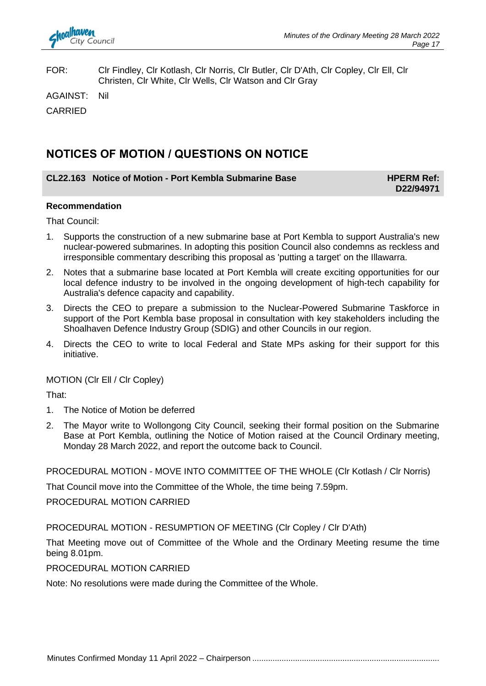

FOR: Clr Findley, Clr Kotlash, Clr Norris, Clr Butler, Clr D'Ath, Clr Copley, Clr Ell, Clr Christen, Clr White, Clr Wells, Clr Watson and Clr Gray

AGAINST: Nil

CARRIED

### **NOTICES OF MOTION / QUESTIONS ON NOTICE**

### **CL22.163** Notice of Motion - Port Kembla Submarine Base **HPERM Ref:**

**D22/94971**

### **Recommendation**

That Council:

- 1. Supports the construction of a new submarine base at Port Kembla to support Australia's new nuclear-powered submarines. In adopting this position Council also condemns as reckless and irresponsible commentary describing this proposal as 'putting a target' on the Illawarra.
- 2. Notes that a submarine base located at Port Kembla will create exciting opportunities for our local defence industry to be involved in the ongoing development of high-tech capability for Australia's defence capacity and capability.
- 3. Directs the CEO to prepare a submission to the Nuclear-Powered Submarine Taskforce in support of the Port Kembla base proposal in consultation with key stakeholders including the Shoalhaven Defence Industry Group (SDIG) and other Councils in our region.
- 4. Directs the CEO to write to local Federal and State MPs asking for their support for this initiative.

MOTION (Clr Ell / Clr Copley)

That:

- 1. The Notice of Motion be deferred
- 2. The Mayor write to Wollongong City Council, seeking their formal position on the Submarine Base at Port Kembla, outlining the Notice of Motion raised at the Council Ordinary meeting, Monday 28 March 2022, and report the outcome back to Council.

PROCEDURAL MOTION - MOVE INTO COMMITTEE OF THE WHOLE (Clr Kotlash / Clr Norris)

That Council move into the Committee of the Whole, the time being 7.59pm.

PROCEDURAL MOTION CARRIED

### PROCEDURAL MOTION - RESUMPTION OF MEETING (Clr Copley / Clr D'Ath)

That Meeting move out of Committee of the Whole and the Ordinary Meeting resume the time being 8.01pm.

### PROCEDURAL MOTION CARRIED

Note: No resolutions were made during the Committee of the Whole.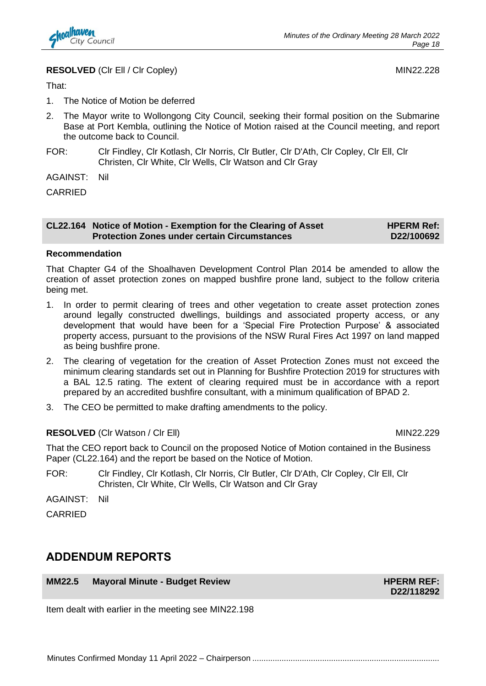

### **RESOLVED** (CIr Ell / CIr Copley) MIN22.228

That:

- 1. The Notice of Motion be deferred
- 2. The Mayor write to Wollongong City Council, seeking their formal position on the Submarine Base at Port Kembla, outlining the Notice of Motion raised at the Council meeting, and report the outcome back to Council.
- FOR: Clr Findley, Clr Kotlash, Clr Norris, Clr Butler, Clr D'Ath, Clr Copley, Clr Ell, Clr Christen, Clr White, Clr Wells, Clr Watson and Clr Gray

AGAINST: Nil

CARRIED

#### **CL22.164 Notice of Motion - Exemption for the Clearing of Asset Protection Zones under certain Circumstances**

**HPERM Ref: D22/100692**

### **Recommendation**

That Chapter G4 of the Shoalhaven Development Control Plan 2014 be amended to allow the creation of asset protection zones on mapped bushfire prone land, subject to the follow criteria being met.

- 1. In order to permit clearing of trees and other vegetation to create asset protection zones around legally constructed dwellings, buildings and associated property access, or any development that would have been for a 'Special Fire Protection Purpose' & associated property access, pursuant to the provisions of the NSW Rural Fires Act 1997 on land mapped as being bushfire prone.
- 2. The clearing of vegetation for the creation of Asset Protection Zones must not exceed the minimum clearing standards set out in Planning for Bushfire Protection 2019 for structures with a BAL 12.5 rating. The extent of clearing required must be in accordance with a report prepared by an accredited bushfire consultant, with a minimum qualification of BPAD 2.
- 3. The CEO be permitted to make drafting amendments to the policy.

### **RESOLVED** (CIr Watson / CIr Ell) MIN22.229

That the CEO report back to Council on the proposed Notice of Motion contained in the Business Paper (CL22.164) and the report be based on the Notice of Motion.

FOR: Clr Findley, Clr Kotlash, Clr Norris, Clr Butler, Clr D'Ath, Clr Copley, Clr Ell, Clr Christen, Clr White, Clr Wells, Clr Watson and Clr Gray

AGAINST: Nil

CARRIED

### **ADDENDUM REPORTS**

**MM22.5 Mayoral Minute - Budget Review HPERM REF: HPERM REF:** 

**D22/118292**

Item dealt with earlier in the meeting see MIN22.198